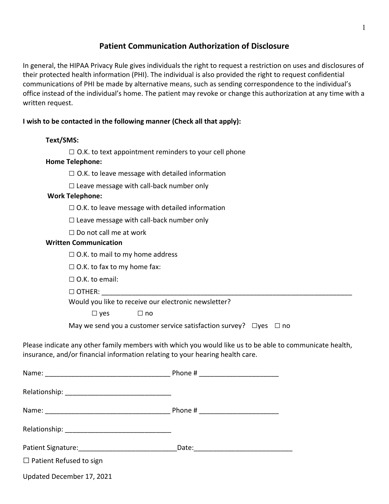# **Patient Communication Authorization of Disclosure**

In general, the HIPAA Privacy Rule gives individuals the right to request a restriction on uses and disclosures of their protected health information (PHI). The individual is also provided the right to request confidential communications of PHI be made by alternative means, such as sending correspondence to the individual's office instead of the individual's home. The patient may revoke or change this authorization at any time with a written request.

## **I wish to be contacted in the following manner (Check all that apply):**

## **Text/SMS:**

□ O.K. to text appointment reminders to your cell phone

## **Home Telephone:**

 $\square$  O.K. to leave message with detailed information

 $\square$  Leave message with call-back number only

#### **Work Telephone:**

 $\square$  O.K. to leave message with detailed information

 $\square$  Leave message with call-back number only

 $\Box$  Do not call me at work

#### **Written Communication**

 $\Box$  O.K. to mail to my home address

 $\Box$  O.K. to fax to my home fax:

 $\Box$  O.K. to email:

□ OTHER: \_\_\_\_\_\_\_\_\_\_\_\_\_\_\_\_\_\_\_\_\_\_\_\_\_\_\_\_\_\_\_\_\_\_\_\_\_\_\_\_\_\_\_\_\_\_\_\_\_\_\_\_\_\_\_\_\_\_\_\_\_\_\_\_\_\_

Would you like to receive our electronic newsletter?

 $\square$  yes  $\square$  no

May we send you a customer service satisfaction survey?  $\Box$ yes  $\Box$  no

Please indicate any other family members with which you would like us to be able to communicate health, insurance, and/or financial information relating to your hearing health care.

| Patient Signature: 1997        |  |
|--------------------------------|--|
| $\Box$ Patient Refused to sign |  |
| Updated December 17, 2021      |  |